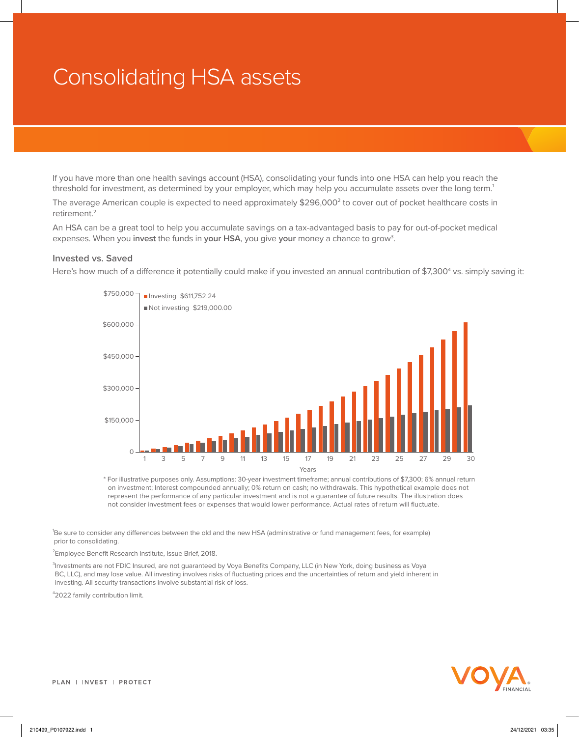## Consolidating HSA assets

If you have more than one health savings account (HSA), consolidating your funds into one HSA can help you reach the threshold for investment, as determined by your employer, which may help you accumulate assets over the long term.<sup>1</sup>

The average American couple is expected to need approximately  $$296,000^2$  to cover out of pocket healthcare costs in retirement.2

An HSA can be a great tool to help you accumulate savings on a tax-advantaged basis to pay for out-of-pocket medical expenses. When you **invest** the funds in **your HSA**, you give **your** money a chance to grow3 .

## **Invested vs. Saved**

Here's how much of a difference it potentially could make if you invested an annual contribution of \$7,300<sup>4</sup> vs. simply saving it:



\* For illustrative purposes only. Assumptions: 30-year investment timeframe; annual contributions of \$7,300; 6% annual return on investment; Interest compounded annually; 0% return on cash; no withdrawals. This hypothetical example does not represent the performance of any particular investment and is not a guarantee of future results. The illustration does not consider investment fees or expenses that would lower performance. Actual rates of return will fluctuate.

1 Be sure to consider any differences between the old and the new HSA (administrative or fund management fees, for example) prior to consolidating.

<sup>2</sup> Employee Benefit Research Institute, Issue Brief, 2018.

3 Investments are not FDIC Insured, are not guaranteed by Voya Benefits Company, LLC (in New York, doing business as Voya BC, LLC), and may lose value. All investing involves risks of fluctuating prices and the uncertainties of return and yield inherent in investing. All security transactions involve substantial risk of loss.

4 2022 family contribution limit.